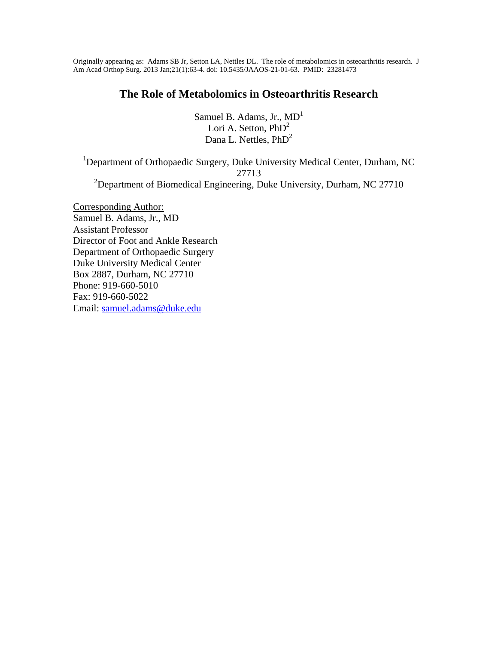Originally appearing as: Adams SB Jr, Setton LA, Nettles DL. The role of metabolomics in osteoarthritis research. J Am Acad Orthop Surg. 2013 Jan;21(1):63-4. doi: 10.5435/JAAOS-21-01-63. PMID: 23281473

## **The Role of Metabolomics in Osteoarthritis Research**

Samuel B. Adams, Jr.,  $MD<sup>1</sup>$ Lori A. Setton,  $PhD<sup>2</sup>$ Dana L. Nettles, PhD<sup>2</sup>

<sup>1</sup>Department of Orthopaedic Surgery, Duke University Medical Center, Durham, NC 27713 <sup>2</sup>Department of Biomedical Engineering, Duke University, Durham, NC 27710

Corresponding Author: Samuel B. Adams, Jr., MD Assistant Professor Director of Foot and Ankle Research Department of Orthopaedic Surgery Duke University Medical Center Box 2887, Durham, NC 27710 Phone: 919-660-5010 Fax: 919-660-5022 Email: samuel.adams@duke.edu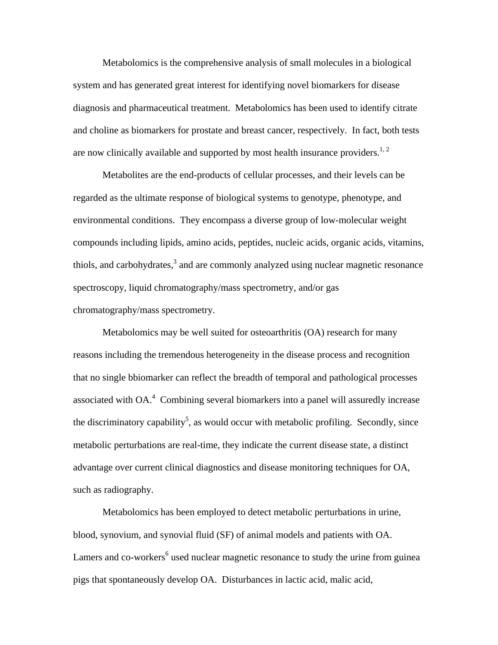Metabolomics is the comprehensive analysis of small molecules in a biological system and has generated great interest for identifying novel biomarkers for disease diagnosis and pharmaceutical treatment. Metabolomics has been used to identify citrate and choline as biomarkers for prostate and breast cancer, respectively. In fact, both tests are now clinically available and supported by most health insurance providers.<sup>1, 2</sup>

Metabolites are the end-products of cellular processes, and their levels can be regarded as the ultimate response of biological systems to genotype, phenotype, and environmental conditions. They encompass a diverse group of low-molecular weight compounds including lipids, amino acids, peptides, nucleic acids, organic acids, vitamins, thiols, and carbohydrates, $3$  and are commonly analyzed using nuclear magnetic resonance spectroscopy, liquid chromatography/mass spectrometry, and/or gas chromatography/mass spectrometry.

Metabolomics may be well suited for osteoarthritis (OA) research for many reasons including the tremendous heterogeneity in the disease process and recognition that no single bbiomarker can reflect the breadth of temporal and pathological processes associated with  $OA<sup>4</sup>$  Combining several biomarkers into a panel will assuredly increase the discriminatory capability<sup>5</sup>, as would occur with metabolic profiling. Secondly, since metabolic perturbations are real-time, they indicate the current disease state, a distinct advantage over current clinical diagnostics and disease monitoring techniques for OA, such as radiography.

Metabolomics has been employed to detect metabolic perturbations in urine, blood, synovium, and synovial fluid (SF) of animal models and patients with OA. Lamers and co-workers<sup>6</sup> used nuclear magnetic resonance to study the urine from guinea pigs that spontaneously develop OA. Disturbances in lactic acid, malic acid,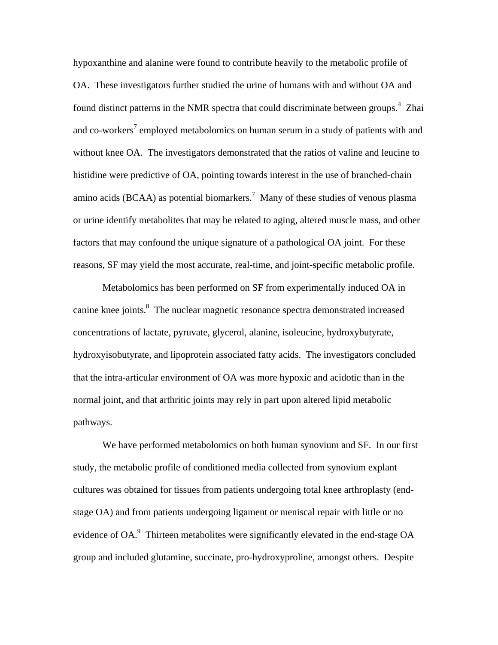hypoxanthine and alanine were found to contribute heavily to the metabolic profile of OA. These investigators further studied the urine of humans with and without OA and found distinct patterns in the NMR spectra that could discriminate between groups.<sup>4</sup> Zhai and co-workers<sup>7</sup> employed metabolomics on human serum in a study of patients with and without knee OA. The investigators demonstrated that the ratios of valine and leucine to histidine were predictive of OA, pointing towards interest in the use of branched-chain amino acids (BCAA) as potential biomarkers.<sup>7</sup> Many of these studies of venous plasma or urine identify metabolites that may be related to aging, altered muscle mass, and other factors that may confound the unique signature of a pathological OA joint. For these reasons, SF may yield the most accurate, real-time, and joint-specific metabolic profile.

Metabolomics has been performed on SF from experimentally induced OA in canine knee joints.<sup>8</sup> The nuclear magnetic resonance spectra demonstrated increased concentrations of lactate, pyruvate, glycerol, alanine, isoleucine, hydroxybutyrate, hydroxyisobutyrate, and lipoprotein associated fatty acids. The investigators concluded that the intra-articular environment of OA was more hypoxic and acidotic than in the normal joint, and that arthritic joints may rely in part upon altered lipid metabolic pathways.

 We have performed metabolomics on both human synovium and SF. In our first study, the metabolic profile of conditioned media collected from synovium explant cultures was obtained for tissues from patients undergoing total knee arthroplasty (endstage OA) and from patients undergoing ligament or meniscal repair with little or no evidence of  $OA$ <sup>9</sup>. Thirteen metabolites were significantly elevated in the end-stage  $OA$ group and included glutamine, succinate, pro-hydroxyproline, amongst others. Despite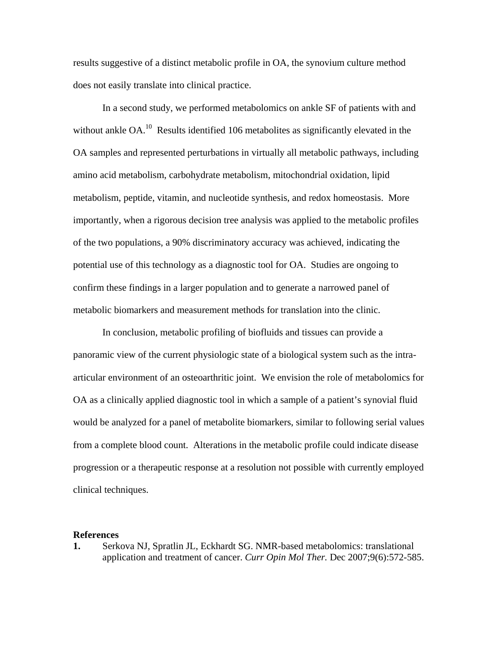results suggestive of a distinct metabolic profile in OA, the synovium culture method does not easily translate into clinical practice.

 In a second study, we performed metabolomics on ankle SF of patients with and without ankle  $OA<sup>10</sup>$ . Results identified 106 metabolites as significantly elevated in the OA samples and represented perturbations in virtually all metabolic pathways, including amino acid metabolism, carbohydrate metabolism, mitochondrial oxidation, lipid metabolism, peptide, vitamin, and nucleotide synthesis, and redox homeostasis. More importantly, when a rigorous decision tree analysis was applied to the metabolic profiles of the two populations, a 90% discriminatory accuracy was achieved, indicating the potential use of this technology as a diagnostic tool for OA. Studies are ongoing to confirm these findings in a larger population and to generate a narrowed panel of metabolic biomarkers and measurement methods for translation into the clinic.

 In conclusion, metabolic profiling of biofluids and tissues can provide a panoramic view of the current physiologic state of a biological system such as the intraarticular environment of an osteoarthritic joint. We envision the role of metabolomics for OA as a clinically applied diagnostic tool in which a sample of a patient's synovial fluid would be analyzed for a panel of metabolite biomarkers, similar to following serial values from a complete blood count. Alterations in the metabolic profile could indicate disease progression or a therapeutic response at a resolution not possible with currently employed clinical techniques.

## **References**

**1.** Serkova NJ, Spratlin JL, Eckhardt SG. NMR-based metabolomics: translational application and treatment of cancer. *Curr Opin Mol Ther.* Dec 2007;9(6):572-585.